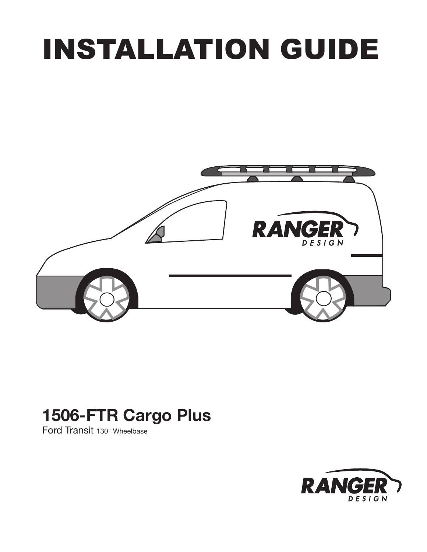# INSTALLATION GUIDE



# 1506-FTR Cargo Plus

Ford Transit 130" Wheelbase

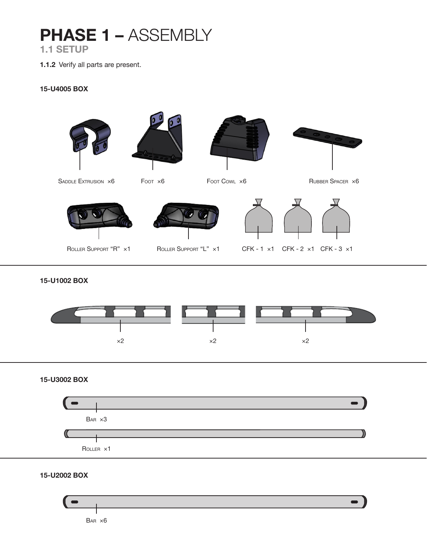# PHASE 1 - ASSEMBLY 1.1 SETUP

1.1.2 Verify all parts are present.

#### 15-U4005 BOX



15-U1002 BOX



15-U3002 BOX



15-U2002 BOX

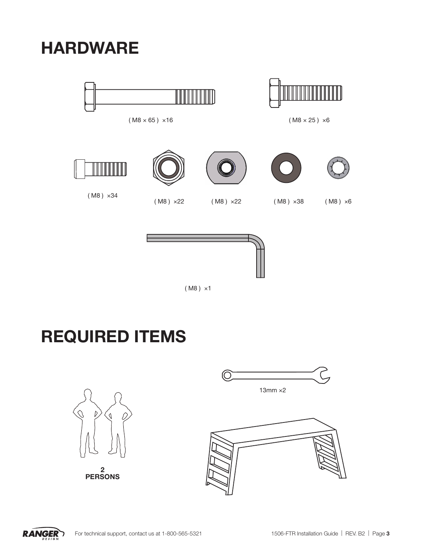HARDWARE





Ш

 $(M8 \times 65) \times 16$  ( $M8 \times 25) \times 6$ 







( M8 ) ×1

# REQUIRED ITEMS



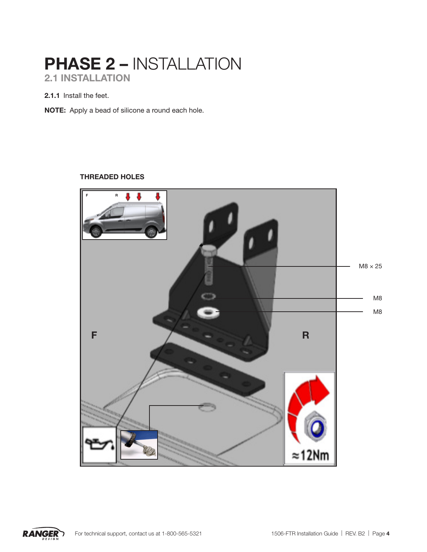# PHASE 2 – INSTALLATION 2.1 INSTALLATION

2.1.1 Install the feet.

NOTE: Apply a bead of silicone a round each hole.

### THREADED HOLES



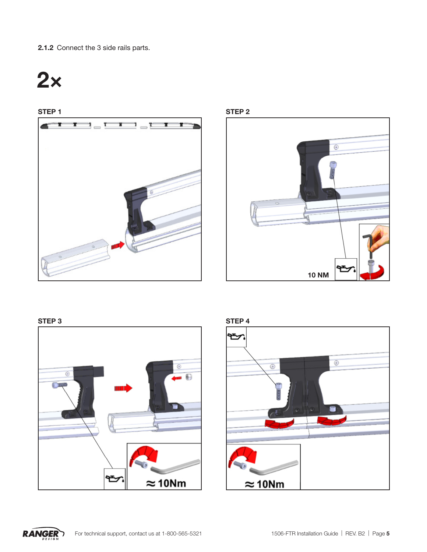2.1.2 Connect the 3 side rails parts.













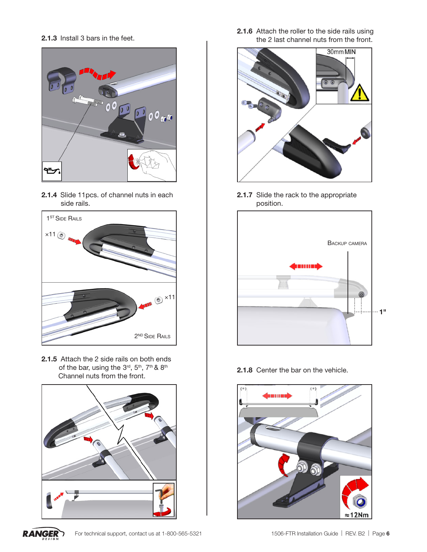2.1.3 Install 3 bars in the feet.



2.1.4 Slide 11pcs. of channel nuts in each side rails.



2.1.5 Attach the 2 side rails on both ends of the bar, using the 3rd, 5<sup>th</sup>, 7<sup>th</sup> & 8<sup>th</sup> Channel nuts from the front.



**RANGER** 

2.1.6 Attach the roller to the side rails using the 2 last channel nuts from the front.



2.1.7 Slide the rack to the appropriate position.



2.1.8 Center the bar on the vehicle.

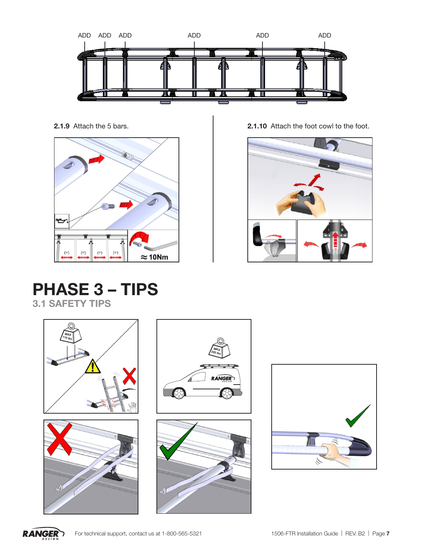



2.1.9 Attach the 5 bars. 2.1.10 Attach the foot cowl to the foot.



# PHASE 3 – TIPS 3.1 SAFETY TIPS